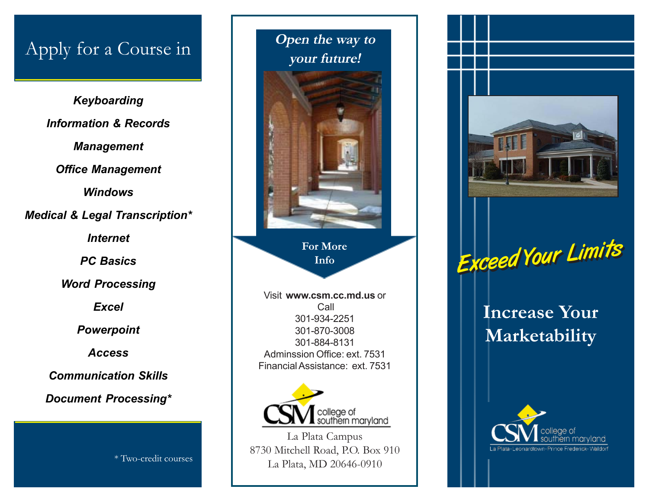## Apply for a Course in

*Keyboarding Information & Records Management Office Management Windows Medical & Legal Transcription\* Internet PC Basics Word Processing Excel Powerpoint Access Communication Skills Document Processing\**

\* Two-credit courses



**For More Info**

Visit **www.csm.cc.md.us** or Call 301-934-2251 301-870-3008 301-884-8131 Adminssion Office: ext. 7531 Financial Assistance: ext. 7531



La Plata Campus 8730 Mitchell Road, P.O. Box 910 La Plata, MD 20646-0910





**Increase Your Marketability**